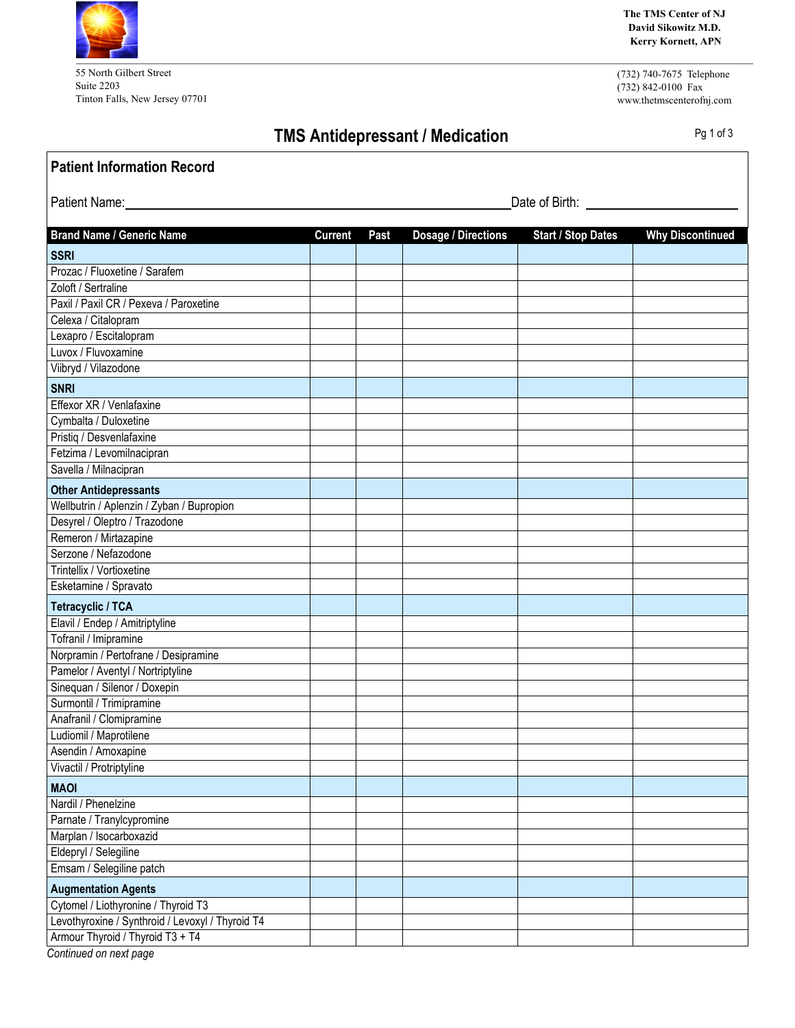55 North Gilbert Street Suite 2203 Tinton Falls, New Jersey 07701 **The TMS Center of NJ David Sikowitz M.D. Kerry Kornett, APN**

(732) 740-7675 Telephone (732) 842-0100 Fax www.thetmscenterofnj.com

## **TMS** Antidepressant / Medication **Pg 1 of 3**

| <b>Patient Information Record</b>                |                |      |                            |                           |                         |
|--------------------------------------------------|----------------|------|----------------------------|---------------------------|-------------------------|
| Patient Name:                                    | Date of Birth: |      |                            |                           |                         |
| <b>Brand Name / Generic Name</b>                 | <b>Current</b> | Past | <b>Dosage / Directions</b> | <b>Start / Stop Dates</b> | <b>Why Discontinued</b> |
| <b>SSRI</b>                                      |                |      |                            |                           |                         |
| Prozac / Fluoxetine / Sarafem                    |                |      |                            |                           |                         |
| Zoloft / Sertraline                              |                |      |                            |                           |                         |
| Paxil / Paxil CR / Pexeva / Paroxetine           |                |      |                            |                           |                         |
| Celexa / Citalopram                              |                |      |                            |                           |                         |
| Lexapro / Escitalopram                           |                |      |                            |                           |                         |
| Luvox / Fluvoxamine                              |                |      |                            |                           |                         |
| Viibryd / Vilazodone                             |                |      |                            |                           |                         |
| <b>SNRI</b>                                      |                |      |                            |                           |                         |
| Effexor XR / Venlafaxine                         |                |      |                            |                           |                         |
| Cymbalta / Duloxetine                            |                |      |                            |                           |                         |
| Pristiq / Desvenlafaxine                         |                |      |                            |                           |                         |
| Fetzima / Levomilnacipran                        |                |      |                            |                           |                         |
| Savella / Milnacipran                            |                |      |                            |                           |                         |
| <b>Other Antidepressants</b>                     |                |      |                            |                           |                         |
| Wellbutrin / Aplenzin / Zyban / Bupropion        |                |      |                            |                           |                         |
| Desyrel / Oleptro / Trazodone                    |                |      |                            |                           |                         |
| Remeron / Mirtazapine                            |                |      |                            |                           |                         |
| Serzone / Nefazodone                             |                |      |                            |                           |                         |
| Trintellix / Vortioxetine                        |                |      |                            |                           |                         |
| Esketamine / Spravato                            |                |      |                            |                           |                         |
| <b>Tetracyclic / TCA</b>                         |                |      |                            |                           |                         |
| Elavil / Endep / Amitriptyline                   |                |      |                            |                           |                         |
| Tofranil / Imipramine                            |                |      |                            |                           |                         |
| Norpramin / Pertofrane / Desipramine             |                |      |                            |                           |                         |
| Pamelor / Aventyl / Nortriptyline                |                |      |                            |                           |                         |
| Sinequan / Silenor / Doxepin                     |                |      |                            |                           |                         |
| Surmontil / Trimipramine                         |                |      |                            |                           |                         |
| Anafranil / Clomipramine                         |                |      |                            |                           |                         |
| Ludiomil / Maprotilene                           |                |      |                            |                           |                         |
| Asendin / Amoxapine                              |                |      |                            |                           |                         |
| Vivactil / Protriptyline                         |                |      |                            |                           |                         |
| <b>MAOI</b>                                      |                |      |                            |                           |                         |
| Nardil / Phenelzine                              |                |      |                            |                           |                         |
| Parnate / Tranylcypromine                        |                |      |                            |                           |                         |
| Marplan / Isocarboxazid                          |                |      |                            |                           |                         |
| Eldepryl / Selegiline                            |                |      |                            |                           |                         |
| Emsam / Selegiline patch                         |                |      |                            |                           |                         |
| <b>Augmentation Agents</b>                       |                |      |                            |                           |                         |
| Cytomel / Liothyronine / Thyroid T3              |                |      |                            |                           |                         |
| Levothyroxine / Synthroid / Levoxyl / Thyroid T4 |                |      |                            |                           |                         |
| Armour Thyroid / Thyroid T3 + T4                 |                |      |                            |                           |                         |

*Continued on next page*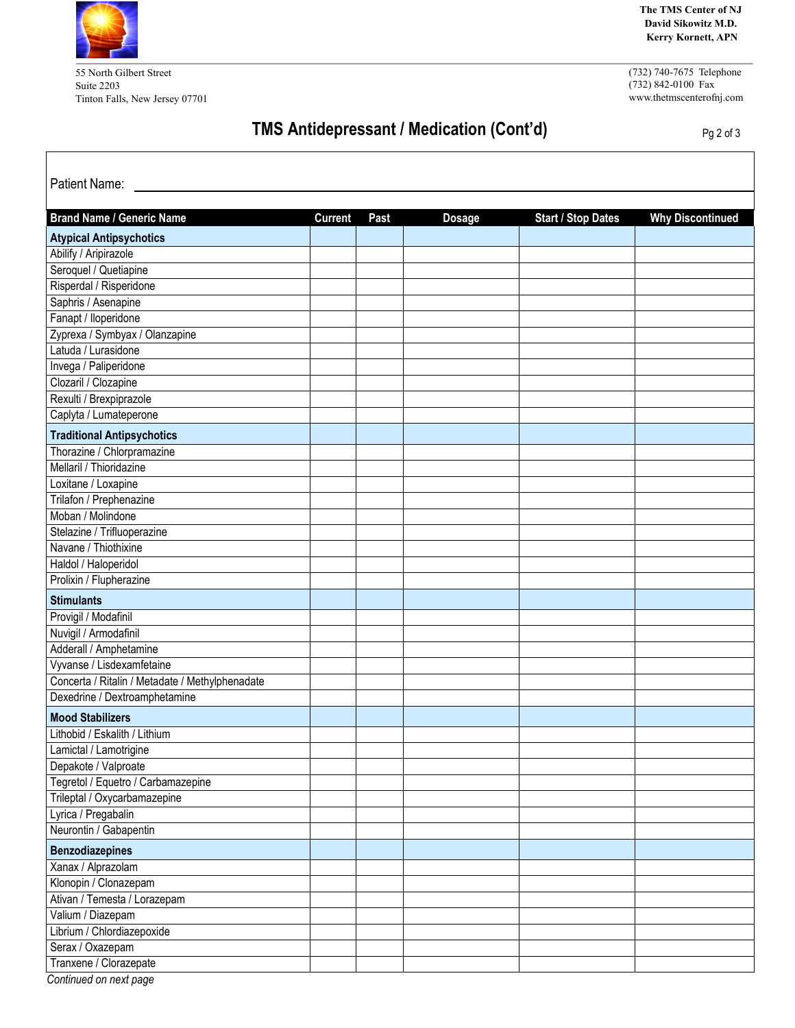

55 North Gilbert Street Suite 2203 Tinton Falls, New Jersey 07701 **The TMS Center of NJ David Sikowitz M.D. Kerry Kornett, APN**

(732) 740-7675 Telephone  $(732)$  842-0100 Fax www.thetmscenterofnj.com

## **TMS Antidepressant / Medication (Cont'd)** Pg 2 of 3

| Patient Name:                                   |                |      |               |                           |                         |
|-------------------------------------------------|----------------|------|---------------|---------------------------|-------------------------|
| <b>Brand Name / Generic Name</b>                | <b>Current</b> | Past | <b>Dosage</b> | <b>Start / Stop Dates</b> | <b>Why Discontinued</b> |
| <b>Atypical Antipsychotics</b>                  |                |      |               |                           |                         |
| Abilify / Aripirazole                           |                |      |               |                           |                         |
| Seroquel / Quetiapine                           |                |      |               |                           |                         |
| Risperdal / Risperidone                         |                |      |               |                           |                         |
| Saphris / Asenapine                             |                |      |               |                           |                         |
| Fanapt / lloperidone                            |                |      |               |                           |                         |
| Zyprexa / Symbyax / Olanzapine                  |                |      |               |                           |                         |
| Latuda / Lurasidone                             |                |      |               |                           |                         |
| Invega / Paliperidone                           |                |      |               |                           |                         |
| Clozaril / Clozapine                            |                |      |               |                           |                         |
| Rexulti / Brexpiprazole                         |                |      |               |                           |                         |
| Caplyta / Lumateperone                          |                |      |               |                           |                         |
| <b>Traditional Antipsychotics</b>               |                |      |               |                           |                         |
| Thorazine / Chlorpramazine                      |                |      |               |                           |                         |
| Mellaril / Thioridazine                         |                |      |               |                           |                         |
| Loxitane / Loxapine                             |                |      |               |                           |                         |
| Trilafon / Prephenazine                         |                |      |               |                           |                         |
| Moban / Molindone                               |                |      |               |                           |                         |
| Stelazine / Trifluoperazine                     |                |      |               |                           |                         |
| Navane / Thiothixine                            |                |      |               |                           |                         |
| Haldol / Haloperidol                            |                |      |               |                           |                         |
| Prolixin / Flupherazine                         |                |      |               |                           |                         |
| <b>Stimulants</b>                               |                |      |               |                           |                         |
| Provigil / Modafinil                            |                |      |               |                           |                         |
| Nuvigil / Armodafinil                           |                |      |               |                           |                         |
| Adderall / Amphetamine                          |                |      |               |                           |                         |
| Vyvanse / Lisdexamfetaine                       |                |      |               |                           |                         |
| Concerta / Ritalin / Metadate / Methylphenadate |                |      |               |                           |                         |
| Dexedrine / Dextroamphetamine                   |                |      |               |                           |                         |
| <b>Mood Stabilizers</b>                         |                |      |               |                           |                         |
| Lithobid / Eskalith / Lithium                   |                |      |               |                           |                         |
| Lamictal / Lamotrigine                          |                |      |               |                           |                         |
| Depakote / Valproate                            |                |      |               |                           |                         |
| Tegretol / Equetro / Carbamazepine              |                |      |               |                           |                         |
| Trileptal / Oxycarbamazepine                    |                |      |               |                           |                         |
| Lyrica / Pregabalin                             |                |      |               |                           |                         |
| Neurontin / Gabapentin                          |                |      |               |                           |                         |
| <b>Benzodiazepines</b>                          |                |      |               |                           |                         |
| Xanax / Alprazolam                              |                |      |               |                           |                         |
| Klonopin / Clonazepam                           |                |      |               |                           |                         |
| Ativan / Temesta / Lorazepam                    |                |      |               |                           |                         |
| Valium / Diazepam                               |                |      |               |                           |                         |
| Librium / Chlordiazepoxide                      |                |      |               |                           |                         |
| Serax / Oxazepam                                |                |      |               |                           |                         |
| Tranxene / Clorazepate                          |                |      |               |                           |                         |

*Continued on next page*